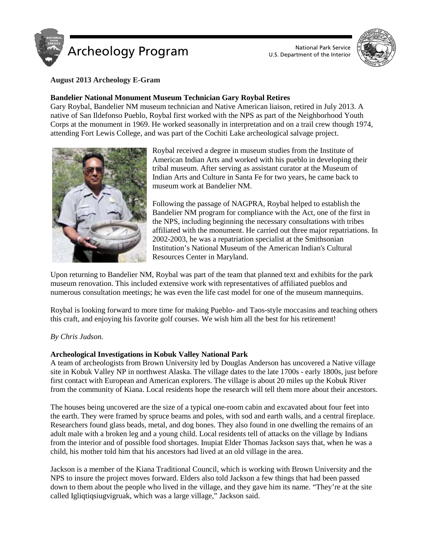



# **August 2013 Archeology E-Gram**

# **Bandelier National Monument Museum Technician Gary Roybal Retires**

Gary Roybal, Bandelier NM museum technician and Native American liaison, retired in July 2013. A native of San Ildefonso Pueblo, Roybal first worked with the NPS as part of the Neighborhood Youth Corps at the monument in 1969. He worked seasonally in interpretation and on a trail crew though 1974, attending Fort Lewis College, and was part of the Cochiti Lake archeological salvage project.



Roybal received a degree in museum studies from the Institute of American Indian Arts and worked with his pueblo in developing their tribal museum. After serving as assistant curator at the Museum of Indian Arts and Culture in Santa Fe for two years, he came back to museum work at Bandelier NM.

Following the passage of NAGPRA, Roybal helped to establish the Bandelier NM program for compliance with the Act, one of the first in the NPS, including beginning the necessary consultations with tribes affiliated with the monument. He carried out three major repatriations. In 2002-2003, he was a repatriation specialist at the Smithsonian Institution's National Museum of the American Indian's Cultural Resources Center in Maryland.

Upon returning to Bandelier NM, Roybal was part of the team that planned text and exhibits for the park museum renovation. This included extensive work with representatives of affiliated pueblos and numerous consultation meetings; he was even the life cast model for one of the museum mannequins.

Roybal is looking forward to more time for making Pueblo- and Taos-style moccasins and teaching others this craft, and enjoying his favorite golf courses. We wish him all the best for his retirement!

# *By Chris Judson.*

# **Archeological Investigations in Kobuk Valley National Park**

A team of archeologists from Brown University led by Douglas Anderson has uncovered a Native village site in Kobuk Valley NP in northwest Alaska. The village dates to the late 1700s - early 1800s, just before first contact with European and American explorers. The village is about 20 miles up the Kobuk River from the community of Kiana. Local residents hope the research will tell them more about their ancestors.

The houses being uncovered are the size of a typical one-room cabin and excavated about four feet into the earth. They were framed by spruce beams and poles, with sod and earth walls, and a central fireplace. Researchers found glass beads, metal, and dog bones. They also found in one dwelling the remains of an adult male with a broken leg and a young child. Local residents tell of attacks on the village by Indians from the interior and of possible food shortages. Inupiat Elder Thomas Jackson says that, when he was a child, his mother told him that his ancestors had lived at an old village in the area.

Jackson is a member of the Kiana Traditional Council, which is working with Brown University and the NPS to insure the project moves forward. Elders also told Jackson a few things that had been passed down to them about the people who lived in the village, and they gave him its name. "They're at the site called Igliqtiqsiugvigruak, which was a large village," Jackson said.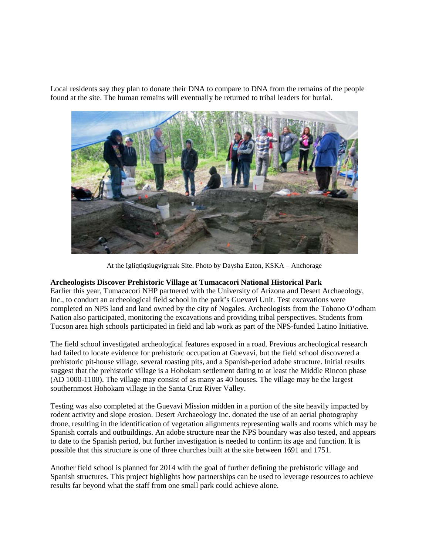Local residents say they plan to donate their DNA to compare to DNA from the remains of the people found at the site. The human remains will eventually be returned to tribal leaders for burial.



At the Igliqtiqsiugvigruak Site. Photo by Daysha Eaton, KSKA – Anchorage

#### **Archeologists Discover Prehistoric Village at Tumacacori National Historical Park**

Earlier this year, Tumacacori NHP partnered with the University of Arizona and Desert Archaeology, Inc., to conduct an archeological field school in the park's Guevavi Unit. Test excavations were completed on NPS land and land owned by the city of Nogales. Archeologists from the Tohono O'odham Nation also participated, monitoring the excavations and providing tribal perspectives. Students from Tucson area high schools participated in field and lab work as part of the NPS-funded Latino Initiative.

The field school investigated archeological features exposed in a road. Previous archeological research had failed to locate evidence for prehistoric occupation at Guevavi, but the field school discovered a prehistoric pit-house village, several roasting pits, and a Spanish-period adobe structure. Initial results suggest that the prehistoric village is a Hohokam settlement dating to at least the Middle Rincon phase (AD 1000-1100). The village may consist of as many as 40 houses. The village may be the largest southernmost Hohokam village in the Santa Cruz River Valley.

Testing was also completed at the Guevavi Mission midden in a portion of the site heavily impacted by rodent activity and slope erosion. Desert Archaeology Inc. donated the use of an aerial photography drone, resulting in the identification of vegetation alignments representing walls and rooms which may be Spanish corrals and outbuildings. An adobe structure near the NPS boundary was also tested, and appears to date to the Spanish period, but further investigation is needed to confirm its age and function. It is possible that this structure is one of three churches built at the site between 1691 and 1751.

Another field school is planned for 2014 with the goal of further defining the prehistoric village and Spanish structures. This project highlights how partnerships can be used to leverage resources to achieve results far beyond what the staff from one small park could achieve alone.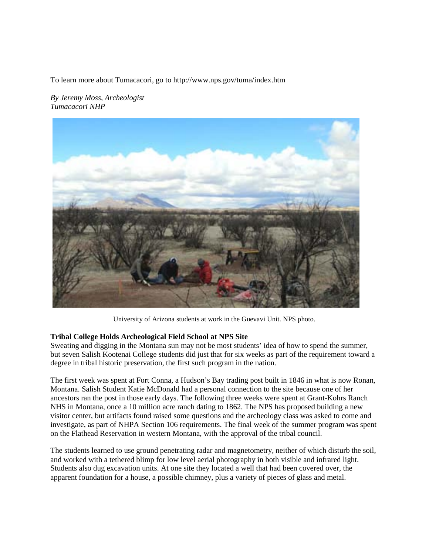To learn more about Tumacacori, go to http://www.nps.gov/tuma/index.htm

*By Jeremy Moss, Archeologist Tumacacori NHP*



University of Arizona students at work in the Guevavi Unit. NPS photo.

# **Tribal College Holds Archeological Field School at NPS Site**

Sweating and digging in the Montana sun may not be most students' idea of how to spend the summer, but seven Salish Kootenai College students did just that for six weeks as part of the requirement toward a degree in tribal historic preservation, the first such program in the nation.

The first week was spent at Fort Conna, a Hudson's Bay trading post built in 1846 in what is now Ronan, Montana. Salish Student Katie McDonald had a personal connection to the site because one of her ancestors ran the post in those early days. The following three weeks were spent at Grant-Kohrs Ranch NHS in Montana, once a 10 million acre ranch dating to 1862. The NPS has proposed building a new visitor center, but artifacts found raised some questions and the archeology class was asked to come and investigate, as part of NHPA Section 106 requirements. The final week of the summer program was spent on the Flathead Reservation in western Montana, with the approval of the tribal council.

The students learned to use ground penetrating radar and magnetometry, neither of which disturb the soil, and worked with a tethered blimp for low level aerial photography in both visible and infrared light. Students also dug excavation units. At one site they located a well that had been covered over, the apparent foundation for a house, a possible chimney, plus a variety of pieces of glass and metal.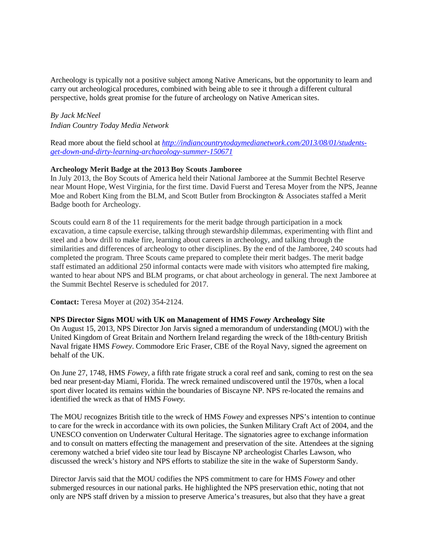Archeology is typically not a positive subject among Native Americans, but the opportunity to learn and carry out archeological procedures, combined with being able to see it through a different cultural perspective, holds great promise for the future of archeology on Native American sites.

*By Jack McNeel Indian Country Today Media Network*

Read more about the field school at *[http://indiancountrytodaymedianetwork.com/2013/08/01/students](http://indiancountrytodaymedianetwork.com/2013/08/01/students-get-down-and-dirty-learning-archaeology-summer-150671)[get-down-and-dirty-learning-archaeology-summer-150671](http://indiancountrytodaymedianetwork.com/2013/08/01/students-get-down-and-dirty-learning-archaeology-summer-150671)*

### **Archeology Merit Badge at the 2013 Boy Scouts Jamboree**

In July 2013, the Boy Scouts of America held their National Jamboree at the Summit Bechtel Reserve near Mount Hope, West Virginia, for the first time. David Fuerst and Teresa Moyer from the NPS, Jeanne Moe and Robert King from the BLM, and Scott Butler from Brockington & Associates staffed a Merit Badge booth for Archeology.

Scouts could earn 8 of the 11 requirements for the merit badge through participation in a mock excavation, a time capsule exercise, talking through stewardship dilemmas, experimenting with flint and steel and a bow drill to make fire, learning about careers in archeology, and talking through the similarities and differences of archeology to other disciplines. By the end of the Jamboree, 240 scouts had completed the program. Three Scouts came prepared to complete their merit badges. The merit badge staff estimated an additional 250 informal contacts were made with visitors who attempted fire making, wanted to hear about NPS and BLM programs, or chat about archeology in general. The next Jamboree at the Summit Bechtel Reserve is scheduled for 2017.

**Contact:** Teresa Moyer at (202) 354-2124.

#### **NPS Director Signs MOU with UK on Management of HMS** *Fowey* **Archeology Site**

On August 15, 2013, NPS Director Jon Jarvis signed a memorandum of understanding (MOU) with the United Kingdom of Great Britain and Northern Ireland regarding the wreck of the 18th-century British Naval frigate HMS *Fowey*. Commodore Eric Fraser, CBE of the Royal Navy, signed the agreement on behalf of the UK.

On June 27, 1748, HMS *Fowey*, a fifth rate frigate struck a coral reef and sank, coming to rest on the sea bed near present-day Miami, Florida. The wreck remained undiscovered until the 1970s, when a local sport diver located its remains within the boundaries of Biscayne NP. NPS re-located the remains and identified the wreck as that of HMS *Fowey.* 

The MOU recognizes British title to the wreck of HMS *Fowey* and expresses NPS's intention to continue to care for the wreck in accordance with its own policies, the Sunken Military Craft Act of 2004, and the UNESCO convention on Underwater Cultural Heritage. The signatories agree to exchange information and to consult on matters effecting the management and preservation of the site. Attendees at the signing ceremony watched a brief video site tour lead by Biscayne NP archeologist Charles Lawson, who discussed the wreck's history and NPS efforts to stabilize the site in the wake of Superstorm Sandy.

Director Jarvis said that the MOU codifies the NPS commitment to care for HMS *Fowey* and other submerged resources in our national parks. He highlighted the NPS preservation ethic, noting that not only are NPS staff driven by a mission to preserve America's treasures, but also that they have a great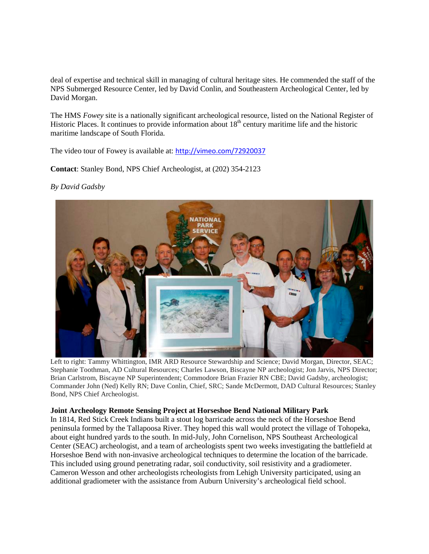deal of expertise and technical skill in managing of cultural heritage sites. He commended the staff of the NPS Submerged Resource Center, led by David Conlin, and Southeastern Archeological Center, led by David Morgan.

The HMS *Fowey* site is a nationally significant archeological resource, listed on the National Register of Historic Places. It continues to provide information about 18<sup>th</sup> century maritime life and the historic maritime landscape of South Florida.

The video tour of Fowey is available at: <http://vimeo.com/72920037>

**Contact**: Stanley Bond, NPS Chief Archeologist, at (202) 354-2123

### *By David Gadsby*



Left to right: Tammy Whittington, IMR ARD Resource Stewardship and Science; David Morgan, Director, SEAC; Stephanie Toothman, AD Cultural Resources; Charles Lawson, Biscayne NP archeologist; Jon Jarvis, NPS Director; Brian Carlstrom, Biscayne NP Superintendent; Commodore Brian Frazier RN CBE; David Gadsby, archeologist; Commander John (Ned) Kelly RN; Dave Conlin, Chief, SRC; Sande McDermott, DAD Cultural Resources; Stanley Bond, NPS Chief Archeologist.

#### **Joint Archeology Remote Sensing Project at Horseshoe Bend National Military Park**

In 1814, Red Stick Creek Indians built a stout log barricade across the neck of the Horseshoe Bend peninsula formed by the Tallapoosa River. They hoped this wall would protect the village of Tohopeka, about eight hundred yards to the south. In mid-July, John Cornelison, NPS Southeast Archeological Center (SEAC) archeologist, and a team of archeologists spent two weeks investigating the battlefield at Horseshoe Bend with non-invasive archeological techniques to determine the location of the barricade. This included using ground penetrating radar, soil conductivity, soil resistivity and a gradiometer. Cameron Wesson and other archeologists rcheologists from Lehigh University participated, using an additional gradiometer with the assistance from Auburn University's archeological field school.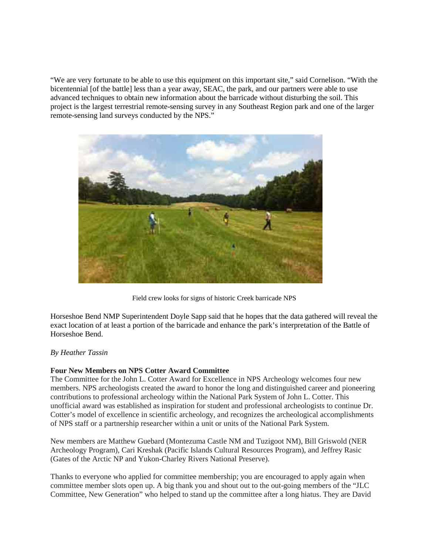"We are very fortunate to be able to use this equipment on this important site," said Cornelison. "With the bicentennial [of the battle] less than a year away, SEAC, the park, and our partners were able to use advanced techniques to obtain new information about the barricade without disturbing the soil. This project is the largest terrestrial remote-sensing survey in any Southeast Region park and one of the larger remote-sensing land surveys conducted by the NPS."



Field crew looks for signs of historic Creek barricade NPS

Horseshoe Bend NMP Superintendent Doyle Sapp said that he hopes that the data gathered will reveal the exact location of at least a portion of the barricade and enhance the park's interpretation of the Battle of Horseshoe Bend.

# *By [Heather Tassin](mailto:heather_tassin@nps.gov)*

# **Four New Members on NPS Cotter Award Committee**

The Committee for the John L. Cotter Award for Excellence in NPS Archeology welcomes four new members. NPS archeologists created the award to honor the long and distinguished career and pioneering contributions to professional archeology within the National Park System of John L. Cotter. This unofficial award was established as inspiration for student and professional archeologists to continue Dr. Cotter's model of excellence in scientific archeology, and recognizes the archeological accomplishments of NPS staff or a partnership researcher within a unit or units of the National Park System.

New members are Matthew Guebard (Montezuma Castle NM and Tuzigoot NM), Bill Griswold (NER Archeology Program), Cari Kreshak (Pacific Islands Cultural Resources Program), and Jeffrey Rasic (Gates of the Arctic NP and Yukon-Charley Rivers National Preserve).

Thanks to everyone who applied for committee membership; you are encouraged to apply again when committee member slots open up. A big thank you and shout out to the out-going members of the "JLC Committee, New Generation" who helped to stand up the committee after a long hiatus. They are David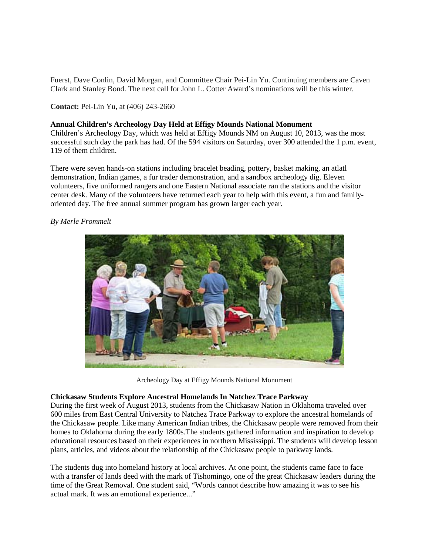Fuerst, Dave Conlin, David Morgan, and Committee Chair Pei-Lin Yu. Continuing members are Caven Clark and Stanley Bond. The next call for John L. Cotter Award's nominations will be this winter.

**Contact:** Pei-Lin Yu, at (406) 243-2660

### **Annual Children's Archeology Day Held at Effigy Mounds National Monument**

Children's Archeology Day, which was held at Effigy Mounds NM on August 10, 2013, was the most successful such day the park has had. Of the 594 visitors on Saturday, over 300 attended the 1 p.m. event, 119 of them children.

There were seven hands-on stations including bracelet beading, pottery, basket making, an atlatl demonstration, Indian games, a fur trader demonstration, and a sandbox archeology dig. Eleven volunteers, five uniformed rangers and one Eastern National associate ran the stations and the visitor center desk. Many of the volunteers have returned each year to help with this event, a fun and familyoriented day. The free annual summer program has grown larger each year.

*By Merle Frommelt*

Archeology Day at Effigy Mounds National Monument

# **Chickasaw Students Explore Ancestral Homelands In Natchez Trace Parkway**

During the first week of August 2013, students from the Chickasaw Nation in Oklahoma traveled over 600 miles from East Central University to Natchez Trace Parkway to explore the ancestral homelands of the Chickasaw people. Like many American Indian tribes, the Chickasaw people were removed from their homes to Oklahoma during the early 1800s.The students gathered information and inspiration to develop educational resources based on their experiences in northern Mississippi. The students will develop lesson plans, articles, and videos about the relationship of the Chickasaw people to parkway lands.

The students dug into homeland history at local archives. At one point, the students came face to face with a transfer of lands deed with the mark of Tishomingo, one of the great Chickasaw leaders during the time of the Great Removal. One student said, "Words cannot describe how amazing it was to see his actual mark. It was an emotional experience..."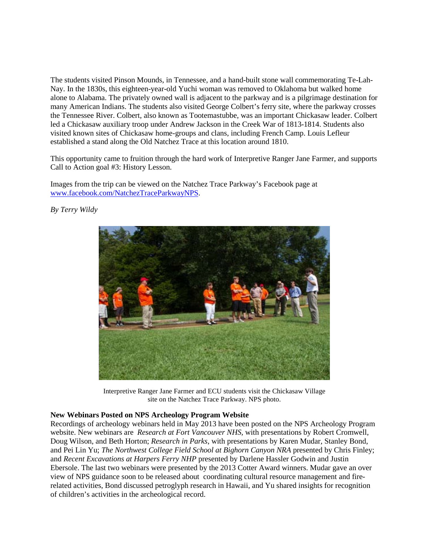The students visited Pinson Mounds, in Tennessee, and a hand-built stone wall commemorating Te-Lah-Nay. In the 1830s, this eighteen-year-old Yuchi woman was removed to Oklahoma but walked home alone to Alabama. The privately owned wall is adjacent to the parkway and is a pilgrimage destination for many American Indians. The students also visited George Colbert's ferry site, where the parkway crosses the Tennessee River. Colbert, also known as Tootemastubbe, was an important Chickasaw leader. Colbert led a Chickasaw auxiliary troop under Andrew Jackson in the Creek War of 1813-1814. Students also visited known sites of Chickasaw home-groups and clans, including French Camp. Louis Lefleur established a stand along the Old Natchez Trace at this location around 1810.

This opportunity came to fruition through the hard work of Interpretive Ranger Jane Farmer, and supports Call to Action goal #3: History Lesson.

Images from the trip can be viewed on the Natchez Trace Parkway's Facebook page at [www.facebook.com/NatchezTraceParkwayNPS.](http://www.facebook.com/NatchezTraceParkwayNPS)



*By Terry Wildy*

Interpretive Ranger Jane Farmer and ECU students visit the Chickasaw Village site on the Natchez Trace Parkway. NPS photo.

#### **New Webinars Posted on NPS Archeology Program Website**

Recordings of archeology webinars held in May 2013 have been posted on the NPS Archeology Program website. New webinars are *[Research at Fort Vancouver NHS,](http://www.nps.gov/archeology/tools/videos/FOVA.wmv)* with presentations by Robert Cromwell, Doug Wilson, and Beth Horton; *Research in Parks*, with presentations by Karen Mudar, Stanley Bond, and Pei Lin Yu; *The Northwest College Field School at Bighorn Canyon NRA* presented by Chris Finley; and *Recent Excavations at Harpers Ferry NHP* presented by Darlene Hassler Godwin and Justin Ebersole. The last two webinars were presented by the 2013 Cotter Award winners. Mudar gave an over view of NPS guidance soon to be released about coordinating cultural resource management and firerelated activities, Bond discussed petroglyph research in Hawaii, and Yu shared insights for recognition of children's activities in the archeological record.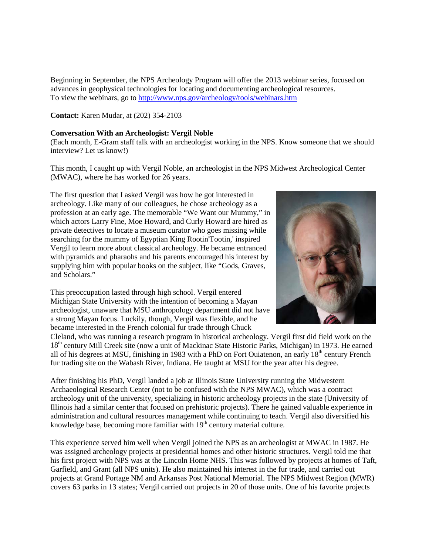Beginning in September, the NPS Archeology Program will offer the 2013 webinar series, focused on advances in geophysical technologies for locating and documenting archeological resources. To view the webinars, go to<http://www.nps.gov/archeology/tools/webinars.htm>

**Contact:** Karen Mudar, at (202) 354-2103

### **Conversation With an Archeologist: Vergil Noble**

(Each month, E-Gram staff talk with an archeologist working in the NPS. Know someone that we should interview? Let us know!)

This month, I caught up with Vergil Noble, an archeologist in the NPS Midwest Archeological Center (MWAC), where he has worked for 26 years.

The first question that I asked Vergil was how he got interested in archeology. Like many of our colleagues, he chose archeology as a profession at an early age. The memorable "We Want our Mummy," in which actors Larry Fine, Moe Howard, and Curly Howard are hired as private detectives to locate a museum curator who goes missing while searching for the mummy of Egyptian King Rootin'Tootin,' inspired Vergil to learn more about classical archeology. He became entranced with pyramids and pharaohs and his parents encouraged his interest by supplying him with popular books on the subject, like "Gods, Graves, and Scholars."

This preoccupation lasted through high school. Vergil entered Michigan State University with the intention of becoming a Mayan archeologist, unaware that MSU anthropology department did not have a strong Mayan focus. Luckily, though, Vergil was flexible, and he became interested in the French colonial fur trade through Chuck



Cleland, who was running a research program in historical archeology. Vergil first did field work on the 18<sup>th</sup> century Mill Creek site (now a unit of Mackinac State Historic Parks, Michigan) in 1973. He earned all of his degrees at MSU, finishing in 1983 with a PhD on Fort Ouiatenon, an early 18<sup>th</sup> century French fur trading site on the Wabash River, Indiana. He taught at MSU for the year after his degree.

After finishing his PhD, Vergil landed a job at Illinois State University running the Midwestern Archaeological Research Center (not to be confused with the NPS MWAC), which was a contract archeology unit of the university, specializing in historic archeology projects in the state (University of Illinois had a similar center that focused on prehistoric projects). There he gained valuable experience in administration and cultural resources management while continuing to teach. Vergil also diversified his knowledge base, becoming more familiar with  $19<sup>th</sup>$  century material culture.

This experience served him well when Vergil joined the NPS as an archeologist at MWAC in 1987. He was assigned archeology projects at presidential homes and other historic structures. Vergil told me that his first project with NPS was at the Lincoln Home NHS. This was followed by projects at homes of Taft, Garfield, and Grant (all NPS units). He also maintained his interest in the fur trade, and carried out projects at Grand Portage NM and Arkansas Post National Memorial. The NPS Midwest Region (MWR) covers 63 parks in 13 states; Vergil carried out projects in 20 of those units. One of his favorite projects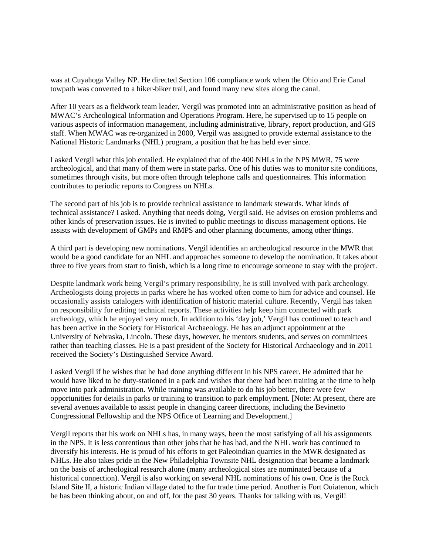was at Cuyahoga Valley NP. He directed Section 106 compliance work when the Ohio and Erie Canal towpath was converted to a hiker-biker trail, and found many new sites along the canal.

After 10 years as a fieldwork team leader, Vergil was promoted into an administrative position as head of MWAC's Archeological Information and Operations Program. Here, he supervised up to 15 people on various aspects of information management, including administrative, library, report production, and GIS staff. When MWAC was re-organized in 2000, Vergil was assigned to provide external assistance to the National Historic Landmarks (NHL) program, a position that he has held ever since.

I asked Vergil what this job entailed. He explained that of the 400 NHLs in the NPS MWR, 75 were archeological, and that many of them were in state parks. One of his duties was to monitor site conditions, sometimes through visits, but more often through telephone calls and questionnaires. This information contributes to periodic reports to Congress on NHLs.

The second part of his job is to provide technical assistance to landmark stewards. What kinds of technical assistance? I asked. Anything that needs doing, Vergil said. He advises on erosion problems and other kinds of preservation issues. He is invited to public meetings to discuss management options. He assists with development of GMPs and RMPS and other planning documents, among other things.

A third part is developing new nominations. Vergil identifies an archeological resource in the MWR that would be a good candidate for an NHL and approaches someone to develop the nomination. It takes about three to five years from start to finish, which is a long time to encourage someone to stay with the project.

Despite landmark work being Vergil's primary responsibility, he is still involved with park archeology. Archeologists doing projects in parks where he has worked often come to him for advice and counsel. He occasionally assists catalogers with identification of historic material culture. Recently, Vergil has taken on responsibility for editing technical reports. These activities help keep him connected with park archeology, which he enjoyed very much. In addition to his 'day job,' Vergil has continued to teach and has been active in the Society for Historical Archaeology. He has an adjunct appointment at the University of Nebraska, Lincoln. These days, however, he mentors students, and serves on committees rather than teaching classes. He is a past president of the Society for Historical Archaeology and in 2011 received the Society's Distinguished Service Award.

I asked Vergil if he wishes that he had done anything different in his NPS career. He admitted that he would have liked to be duty-stationed in a park and wishes that there had been training at the time to help move into park administration. While training was available to do his job better, there were few opportunities for details in parks or training to transition to park employment. [Note: At present, there are several avenues available to assist people in changing career directions, including the Bevinetto Congressional Fellowship and the NPS Office of Learning and Development.]

Vergil reports that his work on NHLs has, in many ways, been the most satisfying of all his assignments in the NPS. It is less contentious than other jobs that he has had, and the NHL work has continued to diversify his interests. He is proud of his efforts to get Paleoindian quarries in the MWR designated as NHLs. He also takes pride in the New Philadelphia Townsite NHL designation that became a landmark on the basis of archeological research alone (many archeological sites are nominated because of a historical connection). Vergil is also working on several NHL nominations of his own. One is the Rock Island Site II, a historic Indian village dated to the fur trade time period. Another is Fort Ouiatenon, which he has been thinking about, on and off, for the past 30 years. Thanks for talking with us, Vergil!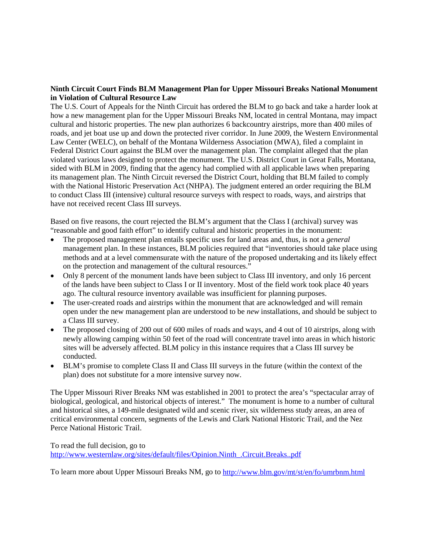# **Ninth Circuit Court Finds BLM Management Plan for Upper Missouri Breaks National Monument in Violation of Cultural Resource Law**

The U.S. Court of Appeals for the Ninth Circuit has ordered the BLM to go back and take a harder look at how a new management plan for the Upper Missouri Breaks NM, located in central Montana, may impact cultural and historic properties. The new plan authorizes 6 backcountry airstrips, more than 400 miles of roads, and jet boat use up and down the protected river corridor. In June 2009, the Western Environmental Law Center (WELC), on behalf of the Montana Wilderness Association (MWA), filed a complaint in Federal District Court against the BLM over the management plan. The complaint alleged that the plan violated various laws designed to protect the monument. The U.S. District Court in Great Falls, Montana, sided with BLM in 2009, finding that the agency had complied with all applicable laws when preparing its management plan. The Ninth Circuit reversed the District Court, holding that BLM failed to comply with the National Historic Preservation Act (NHPA). The judgment entered an order requiring the BLM to conduct Class III (intensive) cultural resource surveys with respect to roads, ways, and airstrips that have not received recent Class III surveys.

Based on five reasons, the court rejected the BLM's argument that the Class I (archival) survey was "reasonable and good faith effort" to identify cultural and historic properties in the monument:

- The proposed management plan entails specific uses for land areas and, thus, is not a *general*  management plan. In these instances, BLM policies required that "inventories should take place using methods and at a level commensurate with the nature of the proposed undertaking and its likely effect on the protection and management of the cultural resources."
- Only 8 percent of the monument lands have been subject to Class III inventory, and only 16 percent of the lands have been subject to Class I or II inventory. Most of the field work took place 40 years ago. The cultural resource inventory available was insufficient for planning purposes.
- The user-created roads and airstrips within the monument that are acknowledged and will remain open under the new management plan are understood to be *new* installations, and should be subject to a Class III survey.
- The proposed closing of 200 out of 600 miles of roads and ways, and 4 out of 10 airstrips, along with newly allowing camping within 50 feet of the road will concentrate travel into areas in which historic sites will be adversely affected. BLM policy in this instance requires that a Class III survey be conducted.
- BLM's promise to complete Class II and Class III surveys in the future (within the context of the plan) does not substitute for a more intensive survey now.

The Upper Missouri River Breaks NM was established in 2001 to protect the area's "spectacular array of biological, geological, and historical objects of interest." The monument is home to a number of cultural and historical sites, a 149-mile designated wild and scenic river, six wilderness study areas, an area of critical environmental concern, segments of the Lewis and Clark National Historic Trail, and the Nez Perce National Historic Trail.

To read the full decision, go to [http://www.westernlaw.org/sites/default/files/Opinion.Ninth\\_.Circuit.Breaks..pdf](http://www.westernlaw.org/sites/default/files/Opinion.Ninth_.Circuit.Breaks..pdf)

To learn more about Upper Missouri Breaks NM, go to<http://www.blm.gov/mt/st/en/fo/umrbnm.html>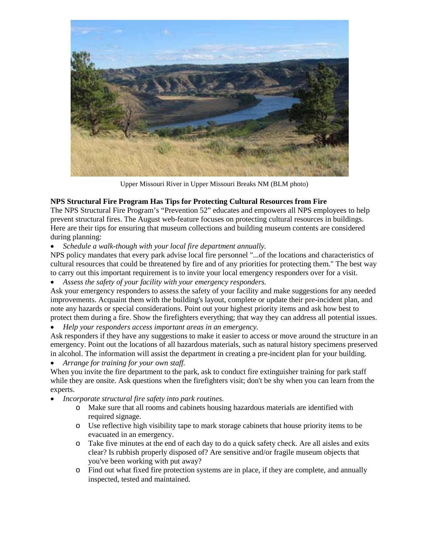

Upper Missouri River in Upper Missouri Breaks NM (BLM photo)

# **NPS Structural Fire Program Has Tips for Protecting Cultural Resources from Fire**

The NPS Structural Fire Program's "Prevention 52" educates and empowers all NPS employees to help prevent structural fires. The August web-feature focuses on protecting cultural resources in buildings. Here are their tips for ensuring that museum collections and building museum contents are considered during planning:

• *Schedule a walk-though with your local fire department annually.*

NPS policy mandates that every park advise local fire personnel "...of the locations and characteristics of cultural resources that could be threatened by fire and of any priorities for protecting them." The best way to carry out this important requirement is to invite your local emergency responders over for a visit.

• *Assess the safety of your facility with your emergency responders.*

Ask your emergency responders to assess the safety of your facility and make suggestions for any needed improvements. Acquaint them with the building's layout, complete or update their pre-incident plan, and note any hazards or special considerations. Point out your highest priority items and ask how best to protect them during a fire. Show the firefighters everything; that way they can address all potential issues.

• *Help your responders access important areas in an emergency.*

Ask responders if they have any suggestions to make it easier to access or move around the structure in an emergency. Point out the locations of all hazardous materials, such as natural history specimens preserved in alcohol. The information will assist the department in creating a pre-incident plan for your building.

• *Arrange for training for your own staff.*

When you invite the fire department to the park, ask to conduct fire extinguisher training for park staff while they are onsite. Ask questions when the firefighters visit; don't be shy when you can learn from the experts.

- *Incorporate structural fire safety into park routines.*
	- o Make sure that all rooms and cabinets housing hazardous materials are identified with required signage.
	- o Use reflective high visibility tape to mark storage cabinets that house priority items to be evacuated in an emergency.
	- o Take five minutes at the end of each day to do a quick safety check. Are all aisles and exits clear? Is rubbish properly disposed of? Are sensitive and/or fragile museum objects that you've been working with put away?
	- o Find out what fixed fire protection systems are in place, if they are complete, and annually inspected, tested and maintained.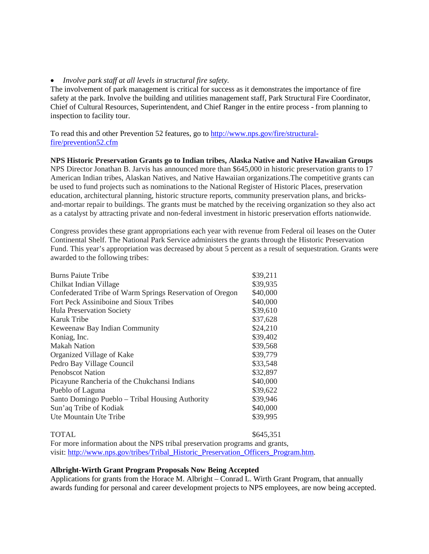# • *Involve park staff at all levels in structural fire safety.*

The involvement of park management is critical for success as it demonstrates the importance of fire safety at the park. Involve the building and utilities management staff, Park Structural Fire Coordinator, Chief of Cultural Resources, Superintendent, and Chief Ranger in the entire process - from planning to inspection to facility tour.

To read this and other Prevention 52 features, go to [http://www.nps.gov/fire/structural](http://www.nps.gov/fire/structural-fire/prevention52.cfm)[fire/prevention52.cfm](http://www.nps.gov/fire/structural-fire/prevention52.cfm)

### **NPS Historic Preservation Grants go to Indian tribes, Alaska Native and Native Hawaiian Groups**

NPS Director Jonathan B. Jarvis has announced more than \$645,000 in historic preservation grants to 17 American Indian tribes, Alaskan Natives, and Native Hawaiian organizations.The competitive grants can be used to fund projects such as nominations to the National Register of Historic Places, preservation education, architectural planning, historic structure reports, community preservation plans, and bricksand-mortar repair to buildings. The grants must be matched by the receiving organization so they also act as a catalyst by attracting private and non-federal investment in historic preservation efforts nationwide.

Congress provides these grant appropriations each year with revenue from Federal oil leases on the Outer Continental Shelf. The National Park Service administers the grants through the Historic Preservation Fund. This year's appropriation was decreased by about 5 percent as a result of sequestration. Grants were awarded to the following tribes:

| <b>Burns Paiute Tribe</b>                                | \$39,211 |
|----------------------------------------------------------|----------|
| Chilkat Indian Village                                   | \$39,935 |
| Confederated Tribe of Warm Springs Reservation of Oregon | \$40,000 |
| Fort Peck Assiniboine and Sioux Tribes                   | \$40,000 |
| Hula Preservation Society                                | \$39,610 |
| Karuk Tribe                                              | \$37,628 |
| Keweenaw Bay Indian Community                            | \$24,210 |
| Koniag, Inc.                                             | \$39,402 |
| <b>Makah Nation</b>                                      | \$39,568 |
| Organized Village of Kake                                | \$39,779 |
| Pedro Bay Village Council                                | \$33,548 |
| <b>Penobscot Nation</b>                                  | \$32,897 |
| Picayune Rancheria of the Chukchansi Indians             | \$40,000 |
| Pueblo of Laguna                                         | \$39,622 |
| Santo Domingo Pueblo – Tribal Housing Authority          | \$39,946 |
| Sun'aq Tribe of Kodiak                                   | \$40,000 |
| Ute Mountain Ute Tribe                                   | \$39,995 |
|                                                          |          |

# $\sqrt{645,351}$

For more information about the NPS tribal preservation programs and grants, visit: [http://www.nps.gov/tribes/Tribal\\_Historic\\_Preservation\\_Officers\\_Program.htm.](http://www.nps.gov/tribes/Tribal_Historic_Preservation_Officers_Program.htm)

### **Albright-Wirth Grant Program Proposals Now Being Accepted**

Applications for grants from the Horace M. Albright – Conrad L. Wirth Grant Program, that annually awards funding for personal and career development projects to NPS employees, are now being accepted.